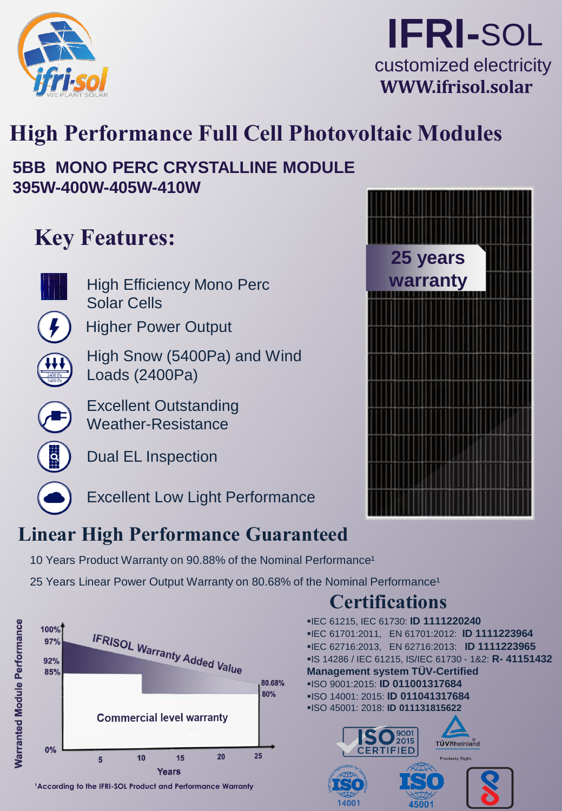

# **IFRI-**SOL customized electricity **WWW.ifrisol.solar**

# **High Performance Full Cell Photovoltaic Modules**

## **5BB MONO PERC CRYSTALLINE MODULE 395W-400W-405W-410W**

# **Key Features:**



High Efficiency Mono Perc Solar Cells

Higher Power Output

High Snow (5400Pa) and Wind Loads (2400Pa)

Excellent Outstanding Weather-Resistance



Dual EL Inspection



Excellent Low Light Performance

# **Linear High Performance Guaranteed**

10 Years Product Warranty on 90.88% of the Nominal Performance<sup>1</sup>

25 Years Linear Power Output Warranty on 80.68% of the Nominal Performance<sup>1</sup>



<sup>1</sup> According to the IFRI-SOL Product and Performance Warranty



## ▪IEC 61215, IEC 61730: **ID 1111220240 Certifications**

14001

▪IEC 61701:2011, EN 61701:2012: **ID 1111223964** ▪IEC 62716:2013, EN 62716:2013: **ID 1111223965** ▪IS 14286 / IEC 61215, IS/IEC 61730 - 1&2: **R- 41151432 Management system TÜV-Certified** ▪ISO 9001:2015: **ID 011001317684** ▪ISO 14001: 2015: **ID 011041317684** ▪ISO 45001: 2018: **ID 011131815622**  $\mathbf{O}^{\mathrm{9001}}_{\text{2015}}$ TÜVRheinland CERTIFIED Precisely Right.